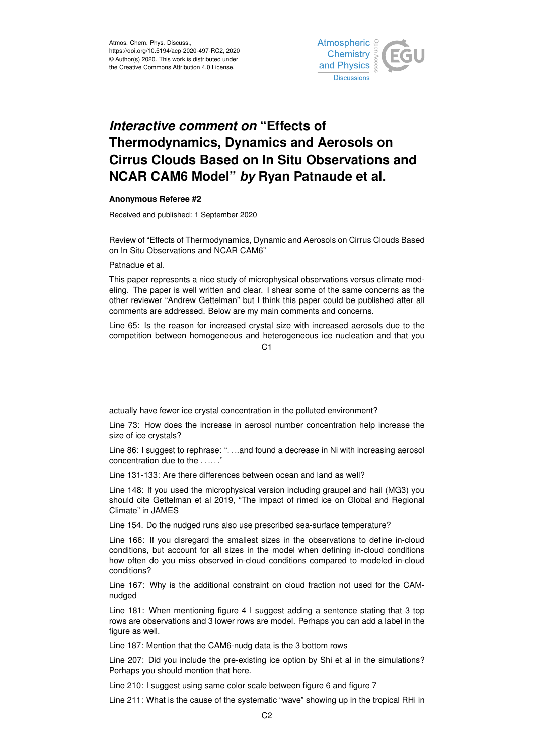

## *Interactive comment on* **"Effects of Thermodynamics, Dynamics and Aerosols on Cirrus Clouds Based on In Situ Observations and NCAR CAM6 Model"** *by* **Ryan Patnaude et al.**

## **Anonymous Referee #2**

Received and published: 1 September 2020

Review of "Effects of Thermodynamics, Dynamic and Aerosols on Cirrus Clouds Based on In Situ Observations and NCAR CAM6"

## Patnadue et al.

This paper represents a nice study of microphysical observations versus climate modeling. The paper is well written and clear. I shear some of the same concerns as the other reviewer "Andrew Gettelman" but I think this paper could be published after all comments are addressed. Below are my main comments and concerns.

Line 65: Is the reason for increased crystal size with increased aerosols due to the competition between homogeneous and heterogeneous ice nucleation and that you

C1

actually have fewer ice crystal concentration in the polluted environment?

Line 73: How does the increase in aerosol number concentration help increase the size of ice crystals?

Line 86: I suggest to rephrase: ". . ..and found a decrease in Ni with increasing aerosol concentration due to the ......"

Line 131-133: Are there differences between ocean and land as well?

Line 148: If you used the microphysical version including graupel and hail (MG3) you should cite Gettelman et al 2019, "The impact of rimed ice on Global and Regional Climate" in JAMES

Line 154. Do the nudged runs also use prescribed sea-surface temperature?

Line 166: If you disregard the smallest sizes in the observations to define in-cloud conditions, but account for all sizes in the model when defining in-cloud conditions how often do you miss observed in-cloud conditions compared to modeled in-cloud conditions?

Line 167: Why is the additional constraint on cloud fraction not used for the CAMnudged

Line 181: When mentioning figure 4 I suggest adding a sentence stating that 3 top rows are observations and 3 lower rows are model. Perhaps you can add a label in the figure as well.

Line 187: Mention that the CAM6-nudg data is the 3 bottom rows

Line 207: Did you include the pre-existing ice option by Shi et al in the simulations? Perhaps you should mention that here.

Line 210: I suggest using same color scale between figure 6 and figure 7

Line 211: What is the cause of the systematic "wave" showing up in the tropical RHi in